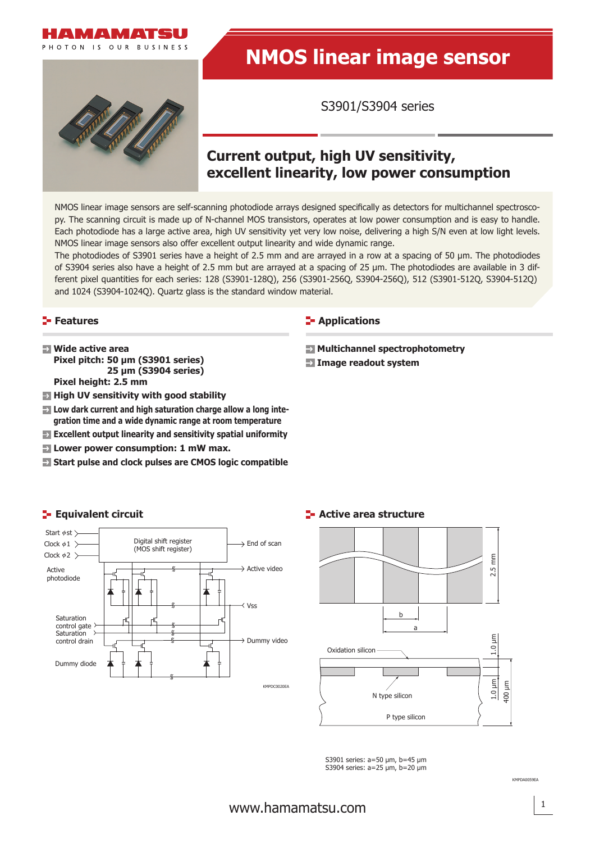

# **NMOS linear image sensor**

S3901/S3904 series

# **Current output, high UV sensitivity, excellent linearity, low power consumption**

NMOS linear image sensors are self-scanning photodiode arrays designed specifically as detectors for multichannel spectroscopy. The scanning circuit is made up of N-channel MOS transistors, operates at low power consumption and is easy to handle. Each photodiode has a large active area, high UV sensitivity yet very low noise, delivering a high S/N even at low light levels. NMOS linear image sensors also offer excellent output linearity and wide dynamic range.

The photodiodes of S3901 series have a height of 2.5 mm and are arrayed in a row at a spacing of 50 μm. The photodiodes of S3904 series also have a height of 2.5 mm but are arrayed at a spacing of 25 μm. The photodiodes are available in 3 different pixel quantities for each series: 128 (S3901-128Q), 256 (S3901-256Q, S3904-256Q), 512 (S3901-512Q, S3904-512Q) and 1024 (S3904-1024Q). Quartz glass is the standard window material.

### **Features**

- **Wide active area Pixel pitch: 50 μm (S3901 series) 25 μm (S3904 series) Pixel height: 2.5 mm**
- $\blacksquare$  **High UV sensitivity with good stability**
- **EX** Low dark current and high saturation charge allow a long inte**gration time and a wide dynamic range at room temperature**
- **Excellent output linearity and sensitivity spatial uniformity**
- **Lower power consumption: 1 mW max.**
- **Start pulse and clock pulses are CMOS logic compatible**

### **E-** Applications

- **Multichannel spectrophotometry**
- **Image readout system**



## **E- Active area structure**



S3901 series: a=50 μm, b=45 μm S3904 series: a=25 μm, b=20 μm

KMPDA0059EA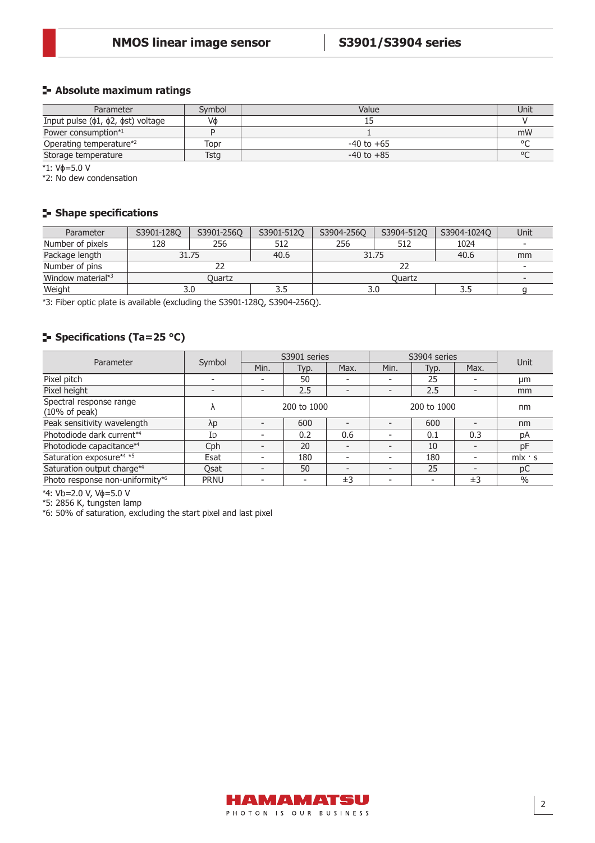## **Absolute maximum ratings**

| Parameter                                    | Symbol | Value          | Unit    |
|----------------------------------------------|--------|----------------|---------|
| Input pulse $(\phi1, \phi2, \phist)$ voltage | Vф     |                |         |
| Power consumption*1                          |        |                | mW      |
| Operating temperature*2                      | Topr   | $-40$ to $+65$ | $\circ$ |
| Storage temperature                          | Tstg   | $-40$ to $+85$ | $\circ$ |

\*1: Vɸ=5.0 V

\*2: No dew condensation

# **Shape specifications**

| Parameter                     | S3901-1280    | S3901-256Q | S3901-512Q | S3904-256Q | S3904-512Q | S3904-1024Q              | Unit |
|-------------------------------|---------------|------------|------------|------------|------------|--------------------------|------|
| Number of pixels              | 128           | 256        | 512        | 256        | 512        | 1024                     |      |
| Package length                | 31.75         |            | 40.6       | 31.75      |            | 40.6                     | mm   |
| Number of pins                |               |            |            |            |            |                          |      |
| Window material* <sup>3</sup> | <b>Duartz</b> |            |            |            |            | $\overline{\phantom{0}}$ |      |
| Weight                        |               |            |            | 3.0        |            | 3.5                      |      |

\*3: Fiber optic plate is available (excluding the S3901-128Q, S3904-256Q).

# **Specifications (Ta=25 °C)**

| Parameter                                           | Symbol      | S3901 series             |                          |                          | S3904 series             |                          |                          | Unit                       |
|-----------------------------------------------------|-------------|--------------------------|--------------------------|--------------------------|--------------------------|--------------------------|--------------------------|----------------------------|
|                                                     |             | Min.                     | Typ.                     | Max.                     | Min.                     | Typ.                     | Max.                     |                            |
| Pixel pitch                                         |             |                          | 50                       |                          |                          | 25                       |                          | µm                         |
| Pixel height                                        |             | $\overline{\phantom{0}}$ | 2.5                      |                          |                          | 2.5                      | $\overline{\phantom{0}}$ | mm                         |
| Spectral response range<br>$(10\% \text{ of peak})$ |             | 200 to 1000              |                          | 200 to 1000              |                          |                          | nm                       |                            |
| Peak sensitivity wavelength                         | λp          | $\overline{\phantom{0}}$ | 600                      |                          |                          | 600                      | $\overline{\phantom{0}}$ | nm                         |
| Photodiode dark current*4                           | ID          | -                        | 0.2                      | 0.6                      |                          | 0.1                      | 0.3                      | pA                         |
| Photodiode capacitance*4                            | Cph         |                          | 20                       |                          |                          | 10                       | $\overline{\phantom{0}}$ | pF                         |
| Saturation exposure*4 *5                            | Esat        |                          | 180                      |                          |                          | 180                      |                          | $m$ <sub>x</sub> $\cdot$ s |
| Saturation output charge*4                          | Osat        | $\overline{\phantom{0}}$ | 50                       | $\overline{\phantom{0}}$ |                          | 25                       | $\overline{\phantom{0}}$ | рC                         |
| Photo response non-uniformity*6                     | <b>PRNU</b> | -                        | $\overline{\phantom{a}}$ | ±3                       | $\overline{\phantom{0}}$ | $\overline{\phantom{a}}$ | $\pm$ 3                  | $\%$                       |

\*4: Vb=2.0 V, Vɸ=5.0 V

\*5: 2856 K, tungsten lamp

\*6: 50% of saturation, excluding the start pixel and last pixel

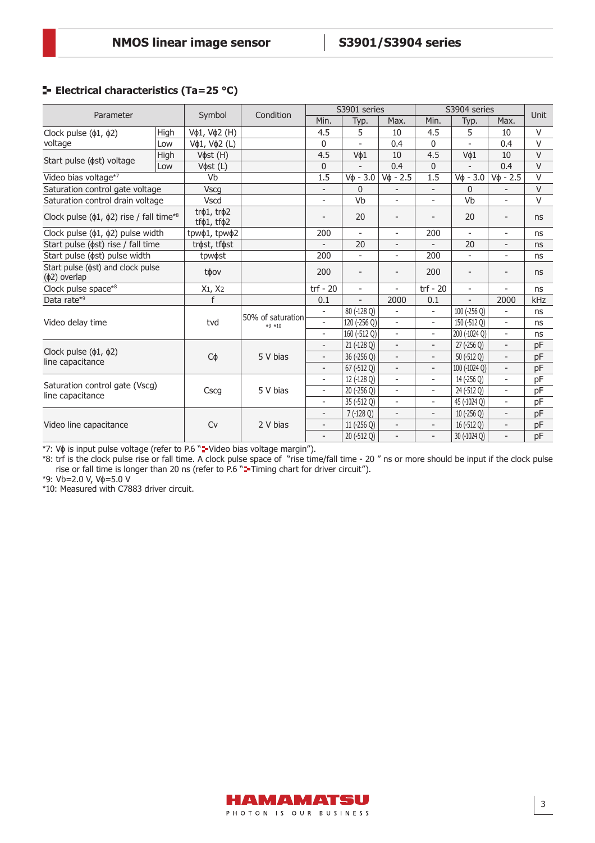# **E** Electrical characteristics (Ta=25 °C)

| Parameter                                                      |      |                                             | Condition                     | S3901 series             |                          |                          | S3904 series             |                          |                          | Unit   |
|----------------------------------------------------------------|------|---------------------------------------------|-------------------------------|--------------------------|--------------------------|--------------------------|--------------------------|--------------------------|--------------------------|--------|
|                                                                |      | Symbol                                      |                               | Min.                     | Typ.                     | Max.                     | Min.                     | Typ.                     | Max.                     |        |
| Clock pulse $(\phi1, \phi2)$                                   | High | Vφ1, Vφ2 (H)                                |                               | 4.5                      | 5                        | 10                       | 4.5                      | 5                        | 10                       | V      |
| voltage                                                        | Low  | Vφ1, Vφ2 (L)                                |                               | 0                        |                          | 0.4                      | 0                        |                          | 0.4                      | V      |
|                                                                | High | V $\phi$ st (H)                             |                               | 4.5                      | V¢1                      | 10                       | 4.5                      | V¢1                      | 10                       | V      |
| Start pulse ( $\phi$ st) voltage                               | Low  | V $\phi$ st (L)                             |                               | 0                        |                          | 0.4                      | 0                        |                          | 0.4                      | V      |
| Video bias voltage*7                                           |      | Vb                                          |                               | 1.5                      | $V\phi - 3.0$            | $V_{\Phi}$ - 2.5         | 1.5                      | $V\phi - 3.0$            | $V_{\Phi}$ - 2.5         | V      |
| Saturation control gate voltage                                |      | <b>Vscg</b>                                 |                               | $\overline{\phantom{a}}$ | $\Omega$                 |                          | $\overline{\phantom{a}}$ | $\Omega$                 |                          | $\vee$ |
| Saturation control drain voltage                               |      | <b>Vscd</b>                                 |                               | $\overline{\phantom{a}}$ | Vb                       | $\overline{\phantom{0}}$ | $\overline{\phantom{a}}$ | Vb                       | $\overline{\phantom{0}}$ | V      |
| Clock pulse ( $\phi$ 1, $\phi$ 2) rise / fall time*8           |      | $tr01$ , $tr02$<br>tf $\phi$ 1, tf $\phi$ 2 |                               |                          | 20                       |                          |                          | 20                       | $\overline{\phantom{0}}$ | ns     |
| Clock pulse ( $\phi$ 1, $\phi$ 2) pulse width                  |      | tpwφ1, tpwφ2                                |                               | 200                      | $\overline{\phantom{a}}$ | ÷.                       | 200                      | $\overline{a}$           | $\overline{\phantom{0}}$ | ns     |
| Start pulse ( $\phi$ st) rise / fall time                      |      | trøst, tføst                                |                               | $\overline{a}$           | 20                       | $\overline{\phantom{a}}$ | $\overline{\phantom{a}}$ | 20                       | $\overline{\phantom{a}}$ | ns     |
| Start pulse ( $\phi$ st) pulse width                           |      | tpw $\phi$ st                               |                               | 200                      | $\overline{\phantom{a}}$ | $\overline{\phantom{0}}$ | 200                      | $\overline{\phantom{a}}$ |                          | ns     |
| Start pulse ( $\phi$ st) and clock pulse<br>$(\phi$ 2) overlap |      | tφov                                        |                               | 200                      | $\overline{\phantom{a}}$ | $\qquad \qquad -$        | 200                      | $\overline{\phantom{a}}$ | $\qquad \qquad -$        | ns     |
| Clock pulse space*8                                            |      | X1, X2                                      |                               | $trf - 20$               | $\overline{\phantom{a}}$ |                          | $trf - 20$               | $\overline{\phantom{a}}$ |                          | ns     |
| Data rate*9                                                    |      | f                                           |                               | 0.1                      | $\overline{\phantom{0}}$ | 2000                     | 0.1                      | $\overline{a}$           | 2000                     | kHz    |
|                                                                |      |                                             |                               | $\overline{\phantom{0}}$ | 80 (-128 Q)              |                          | $\overline{\phantom{a}}$ | 100 (-256 Q)             |                          | ns     |
| Video delay time                                               |      | tvd                                         | 50% of saturation<br>$*9 *10$ | $\overline{\phantom{a}}$ | 120 (-256 Q)             | $\overline{\phantom{0}}$ | $\overline{\phantom{a}}$ | 150 (-512 Q)             | $\overline{\phantom{0}}$ | ns     |
|                                                                |      |                                             |                               | $\overline{\phantom{a}}$ | 160 (-512 Q)             | $\overline{\phantom{0}}$ | $\overline{\phantom{a}}$ | 200 (-1024 Q)            | $\overline{\phantom{0}}$ | ns     |
|                                                                |      |                                             |                               | $\overline{\phantom{a}}$ | 21 (-128 Q)              | $\overline{\phantom{0}}$ | $\overline{\phantom{a}}$ | $27$ (-256 Q)            | $\overline{\phantom{a}}$ | pF     |
| Clock pulse ( $\phi$ 1, $\phi$ 2)<br>line capacitance          |      | Сф                                          | 5 V bias                      | $\overline{\phantom{a}}$ | 36 (-256 Q)              |                          | $\overline{\phantom{a}}$ | 50 (-512 Q)              |                          | pF     |
|                                                                |      |                                             |                               | $\overline{\phantom{a}}$ | 67 (-512 Q)              | $\overline{\phantom{0}}$ | $\overline{\phantom{a}}$ | 100 (-1024 Q)            | $\overline{\phantom{a}}$ | pF     |
|                                                                |      |                                             | 5 V bias                      | $\overline{\phantom{0}}$ | 12 (-128 Q)              | $\overline{\phantom{0}}$ | $\overline{\phantom{a}}$ | 14 (-256 Q)              | $\overline{\phantom{0}}$ | pF     |
| Saturation control gate (Vscg)<br>line capacitance             |      | Cscg                                        |                               | $\overline{\phantom{a}}$ | 20 (-256 Q)              | $\overline{\phantom{0}}$ | $\overline{\phantom{a}}$ | 24 (-512 Q)              | $\overline{\phantom{0}}$ | pF     |
|                                                                |      |                                             |                               | $\overline{\phantom{a}}$ | 35 (-512 Q)              | $\overline{\phantom{0}}$ | $\overline{\phantom{a}}$ | 45 (-1024 Q)             | $\overline{\phantom{0}}$ | pF     |
|                                                                |      |                                             |                               | $\sim$                   | $7(-128Q)$               | $\overline{\phantom{0}}$ | $\overline{\phantom{a}}$ | $10$ (-256 Q)            | $\overline{\phantom{0}}$ | pF     |
| Video line capacitance                                         |      | <b>Cv</b>                                   | 2 V bias                      | $\overline{a}$           | 11 (-256 Q)              | $\overline{\phantom{0}}$ | $\overline{\phantom{a}}$ | 16 (-512 Q)              | $\overline{\phantom{0}}$ | pF     |
|                                                                |      |                                             |                               | $\overline{a}$           | 20 (-512 Q)              |                          | $\overline{\phantom{m}}$ | 30 (-1024 Q)             |                          | pF     |

\*7: Vφ is input pulse voltage (refer to P.6 "= Video bias voltage margin").

\*8: trf is the clock pulse rise or fall time. A clock pulse space of "rise time/fall time - 20 " ns or more should be input if the clock pulse rise or fall time is longer than 20 ns (refer to P.6 "= Timing chart for driver circuit").

\*9: Vb=2.0 V, Vɸ=5.0 V

\*10: Measured with C7883 driver circuit.

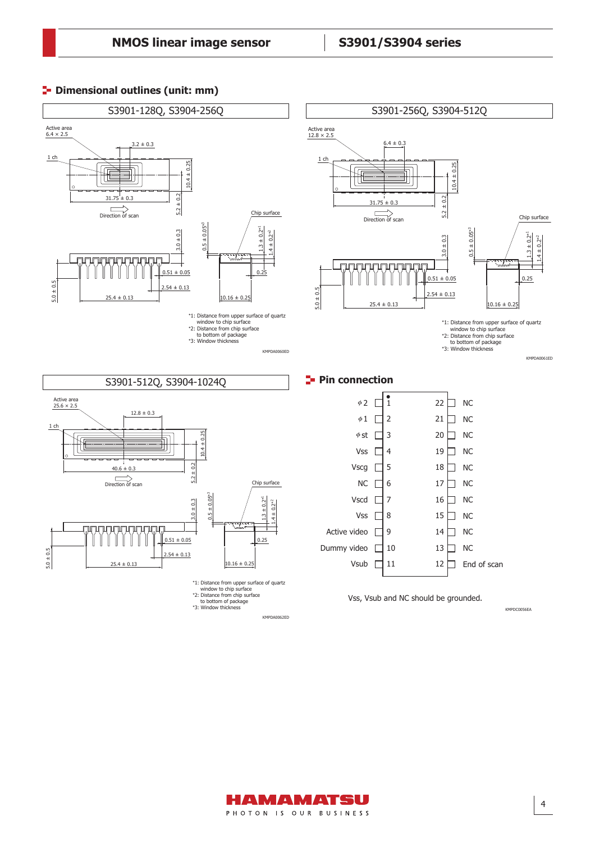### **P**- Dimensional outlines (unit: mm)



KMPDA0062ED

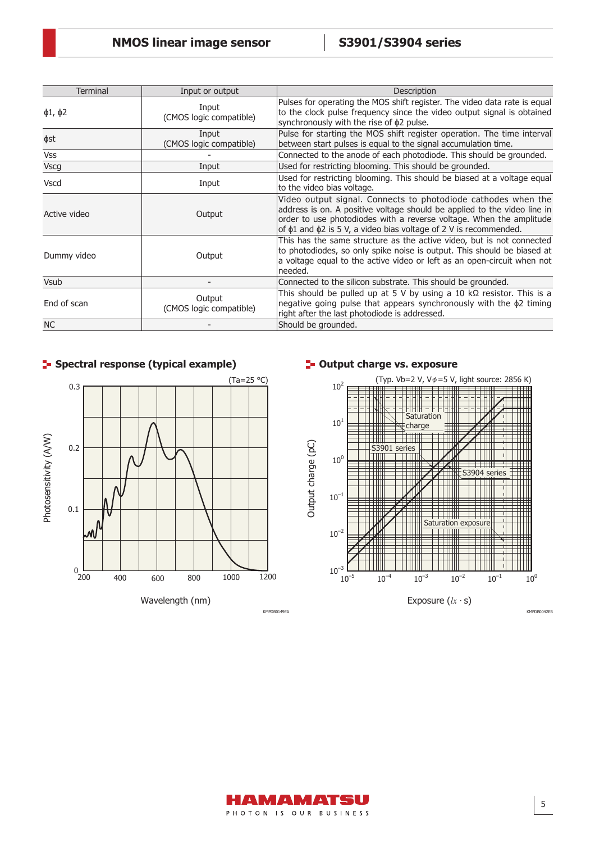| <b>Terminal</b>    | Input or output                   | Description                                                                                                                                                                                                                                                                                      |
|--------------------|-----------------------------------|--------------------------------------------------------------------------------------------------------------------------------------------------------------------------------------------------------------------------------------------------------------------------------------------------|
| $\phi$ 1, $\phi$ 2 | Input<br>(CMOS logic compatible)  | Pulses for operating the MOS shift register. The video data rate is equal<br>to the clock pulse frequency since the video output signal is obtained<br>synchronously with the rise of $\phi$ 2 pulse.                                                                                            |
| фst                | Input<br>(CMOS logic compatible)  | Pulse for starting the MOS shift register operation. The time interval<br>between start pulses is equal to the signal accumulation time.                                                                                                                                                         |
| <b>Vss</b>         |                                   | Connected to the anode of each photodiode. This should be grounded.                                                                                                                                                                                                                              |
| <b>Vscg</b>        | Input                             | Used for restricting blooming. This should be grounded.                                                                                                                                                                                                                                          |
| <b>Vscd</b>        | Input                             | Used for restricting blooming. This should be biased at a voltage equal<br>to the video bias voltage.                                                                                                                                                                                            |
| Active video       | Output                            | Video output signal. Connects to photodiode cathodes when the<br>address is on. A positive voltage should be applied to the video line in<br>order to use photodiodes with a reverse voltage. When the amplitude<br>of $\phi$ 1 and $\phi$ 2 is 5 V, a video bias voltage of 2 V is recommended. |
| Dummy video        | Output                            | This has the same structure as the active video, but is not connected<br>to photodiodes, so only spike noise is output. This should be biased at<br>a voltage equal to the active video or left as an open-circuit when not<br>needed.                                                           |
| Vsub               |                                   | Connected to the silicon substrate. This should be grounded.                                                                                                                                                                                                                                     |
| End of scan        | Output<br>(CMOS logic compatible) | This should be pulled up at 5 V by using a 10 k $\Omega$ resistor. This is a<br>negative going pulse that appears synchronously with the $\phi$ 2 timing<br>right after the last photodiode is addressed.                                                                                        |
| <b>NC</b>          |                                   | Should be grounded.                                                                                                                                                                                                                                                                              |



# **Spectral response (typical example) Subset 1** and the set of the seposure  $\mathbf{S}$  and the set of  $\mathbf{S}$  and  $\mathbf{S}$  and  $\mathbf{S}$  and  $\mathbf{S}$  and  $\mathbf{S}$  and  $\mathbf{S}$  and  $\mathbf{S}$  and  $\mathbf{S}$  and  $\mathbf{S}$  and  $\mathbf$



KMPDB0149EA KMPDB0042EB

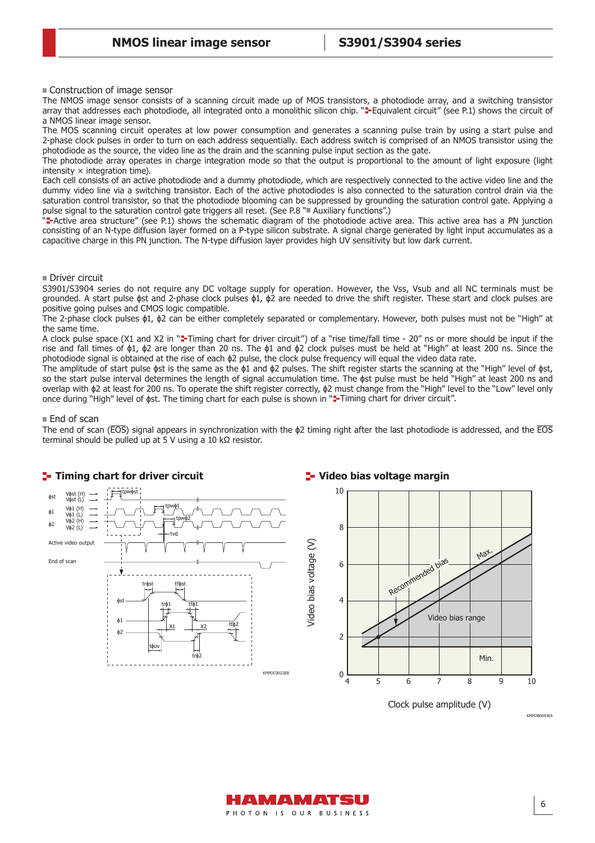Construction of image sensor

The NMOS image sensor consists of a scanning circuit made up of MOS transistors, a photodiode array, and a switching transistor array that addresses each photodiode, all integrated onto a monolithic silicon chip. ""Equivalent circuit" (see P.1) shows the circuit of a NMOS linear image sensor.

The MOS scanning circuit operates at low power consumption and generates a scanning pulse train by using a start pulse and 2-phase clock pulses in order to turn on each address sequentially. Each address switch is comprised of an NMOS transistor using the photodiode as the source, the video line as the drain and the scanning pulse input section as the gate.

The photodiode array operates in charge integration mode so that the output is proportional to the amount of light exposure (light intensity  $\times$  integration time).

Each cell consists of an active photodiode and a dummy photodiode, which are respectively connected to the active video line and the dummy video line via a switching transistor. Each of the active photodiodes is also connected to the saturation control drain via the saturation control transistor, so that the photodiode blooming can be suppressed by grounding the saturation control gate. Applying a pulse signal to the saturation control gate triggers all reset. (See P.8 " Auxiliary functions".)

" Active area structure" (see P.1) shows the schematic diagram of the photodiode active area. This active area has a PN junction consisting of an N-type diffusion layer formed on a P-type silicon substrate. A signal charge generated by light input accumulates as a capacitive charge in this PN junction. The N-type diffusion layer provides high UV sensitivity but low dark current.

### Driver circuit

S3901/S3904 series do not require any DC voltage supply for operation. However, the Vss, Vsub and all NC terminals must be grounded. A start pulse  $\phi$ st and 2-phase clock pulses  $\phi$ 1,  $\phi$ 2 are needed to drive the shift register. These start and clock pulses are positive going pulses and CMOS logic compatible.

The 2-phase clock pulses ɸ1, ɸ2 can be either completely separated or complementary. However, both pulses must not be "High" at the same time.

A clock pulse space (X1 and X2 in "=Timing chart for driver circuit") of a "rise time/fall time - 20" ns or more should be input if the rise and fall times of ɸ1, ɸ2 are longer than 20 ns. The ɸ1 and ɸ2 clock pulses must be held at "High" at least 200 ns. Since the photodiode signal is obtained at the rise of each ɸ2 pulse, the clock pulse frequency will equal the video data rate.

The amplitude of start pulse ɸst is the same as the ɸ1 and ɸ2 pulses. The shift register starts the scanning at the "High" level of ɸst, so the start pulse interval determines the length of signal accumulation time. The ɸst pulse must be held "High" at least 200 ns and overlap with ɸ2 at least for 200 ns. To operate the shift register correctly, ɸ2 must change from the "High" level to the "Low" level only once during "High" level of  $\phi$ st. The timing chart for each pulse is shown in " -Timing chart for driver circuit".

### $\blacksquare$  End of scan

The end of scan ( $\overline{EOS}$ ) signal appears in synchronization with the  $\phi$ 2 timing right after the last photodiode is addressed, and the  $\overline{EOS}$ terminal should be pulled up at 5 V using a 10 kΩ resistor.



Clock pulse amplitude (V)



KMPDB0043EA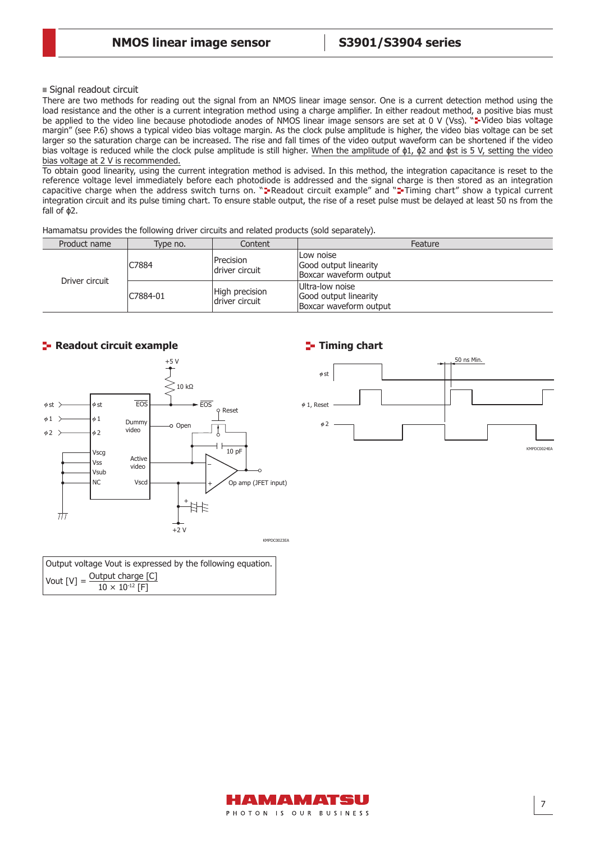### Signal readout circuit

There are two methods for reading out the signal from an NMOS linear image sensor. One is a current detection method using the load resistance and the other is a current integration method using a charge amplifier. In either readout method, a positive bias must be applied to the video line because photodiode anodes of NMOS linear image sensors are set at 0 V (Vss). "F Video bias voltage margin" (see P.6) shows a typical video bias voltage margin. As the clock pulse amplitude is higher, the video bias voltage can be set larger so the saturation charge can be increased. The rise and fall times of the video output waveform can be shortened if the video bias voltage is reduced while the clock pulse amplitude is still higher. When the amplitude of  $\phi$ 1,  $\phi$ 2 and  $\phi$ st is 5 V, setting the video bias voltage at 2 V is recommended.

To obtain good linearity, using the current integration method is advised. In this method, the integration capacitance is reset to the reference voltage level immediately before each photodiode is addressed and the signal charge is then stored as an integration capacitive charge when the address switch turns on. " Readout circuit example" and " Timing chart" show a typical current integration circuit and its pulse timing chart. To ensure stable output, the rise of a reset pulse must be delayed at least 50 ns from the fall of ɸ2.

Hamamatsu provides the following driver circuits and related products (sold separately).

| Product name   | Type no. | Content                           | Feature                                                            |
|----------------|----------|-----------------------------------|--------------------------------------------------------------------|
| Driver circuit | C7884    | Precision<br>driver circuit       | lLow noise<br>Good output linearity<br>Boxcar waveform output      |
|                | C7884-01 | High precision<br>Idriver circuit | Ultra-low noise<br>Good output linearity<br>Boxcar waveform output |



| Output voltage Vout is expressed by the following equation.  |
|--------------------------------------------------------------|
| Vout $[V] =$ Output charge $[C]$<br>$10 \times 10^{-12}$ [F] |

# **Timing chart**